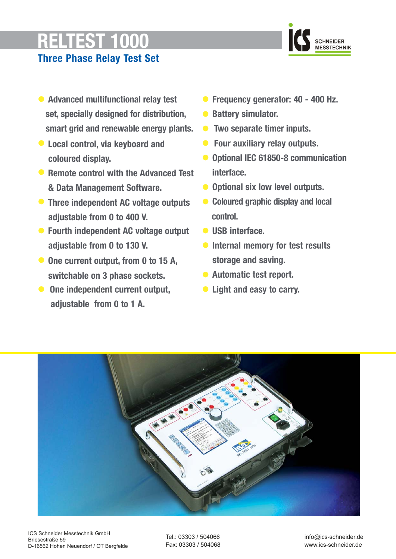# **RELTEST 1000**



# **Three Phase Relay Test Set**

- **• Advanced multifunctional relay test set, specially designed for distribution, smart grid and renewable energy plants.**
- **Local control, via keyboard and coloured display.**
- **Remote control with the Advanced Test & Data Management Software.**
- **Three independent AC voltage outputs adjustable from 0 to 400 V.**
- **Fourth independent AC voltage output adjustable from 0 to 130 V.**
- **One current output, from 0 to 15 A, switchable on 3 phase sockets.**
- **One independent current output, adjustable from 0 to 1 A.**
- **• Frequency generator: 40 400 Hz.**
- **Battery simulator.**
- **Two separate timer inputs.**
- **Four auxiliary relay outputs.**
- **• Optional IEC 61850-8 communication interface.**
- **Optional six low level outputs.**
- **• Coloured graphic display and local control.**
- **• USB interface.**
- **• Internal memory for test results storage and saving.**
- **• Automatic test report.**
- **• Light and easy to carry.**



Tel.: 03303 / 504066 Fax: 03303 / 504068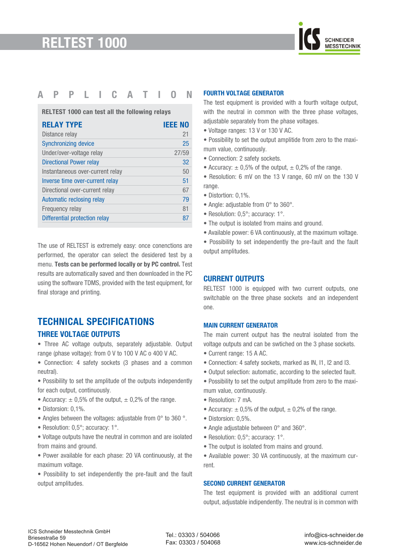

## **APPLICATION**

**RELTEST 1000 can test all the following relays**

| <b>RELAY TYPE</b>                | <b>IEEE NO</b> |
|----------------------------------|----------------|
| Distance relay                   | 21             |
| <b>Synchronizing device</b>      | 25             |
| Under/over-voltage relay         | 27/59          |
| <b>Directional Power relay</b>   | 32             |
| Instantaneous over-current relay | 50             |
| Inverse time over-current relay  | 51             |
| Directional over-current relay   | 67             |
| Automatic reclosing relay        | 79             |
| Frequency relay                  | 81             |
| Differential protection relay    | 87             |
|                                  |                |

The use of RELTEST is extremely easy: once conenctions are performed, the operator can select the desidered test by a menu. **Tests can be performed locally or by PC control.** Test results are automatically saved and then downloaded in the PC using the software TDMS, provided with the test equipment, for final storage and printing.

# **TECHNICAL SPECIFICATIONS THREE VOLTAGE OUTPUTS**

• Three AC voltage outputs, separately adjustable. Output range (phase voltage): from 0 V to 100 V AC o 400 V AC.

- Connection: 4 safety sockets (3 phases and a common neutral).
- Possibility to set the amplitude of the outputs independently for each output, continuously.
- Accuracy:  $\pm$  0,5% of the output,  $\pm$  0,2% of the range.
- Distorsion: 0,1%.
- Angles between the voltages: adjustable from 0° to 360 °.
- Resolution: 0,5°; accuracy: 1°.
- Voltage outputs have the neutral in common and are isolated from mains and ground.
- Power available for each phase: 20 VA continuously, at the maximum voltage.
- Possibility to set independently the pre-fault and the fault output amplitudes.

#### **FOURTH VOLTAGE GENERATOR**

The test equipment is provided with a fourth voltage output, with the neutral in common with the three phase voltages, adjustable separately from the phase voltages.

- Voltage ranges: 13 V or 130 V AC.
- Possibility to set the output amplitide from zero to the maximum value, continuously.
- Connection: 2 safety sockets.
- Accuracy:  $\pm$  0,5% of the output,  $\pm$  0,2% of the range.
- Resolution: 6 mV on the 13 V range, 60 mV on the 130 V range.
- Distortion: 0,1%.
- Angle: adjustable from 0° to 360°.
- Resolution: 0,5°; accuracy: 1°.
- The output is isolated from mains and ground.
- Available power: 6 VA continuously, at the maximum voltage.
- Possibility to set independently the pre-fault and the fault output amplitudes.

#### **CURRENT OUTPUTS**

RELTEST 1000 is equipped with two current outputs, one switchable on the three phase sockets and an independent one.

#### **MAIN CURRENT GENERATOR**

The main current output has the neutral isolated from the voltage outputs and can be swtiched on the 3 phase sockets.

- Current range: 15 A AC.
- Connection: 4 safety sockets, marked as IN, I1, I2 and I3.
- Output selection: automatic, according to the selected fault.
- Possibility to set the output amplitude from zero to the maximum value, continuously.
- Resolution: 7 mA.
- Accuracy:  $\pm$  0,5% of the output,  $\pm$  0,2% of the range.
- Distorsion: 0,5%.
- Angle adjustable between 0° and 360°.
- Resolution: 0,5°; accuracy: 1°.
- The output is isolated from mains and ground.
- Available power: 30 VA continuously, at the maximum current.

#### **SECOND CURRENT GENERATOR**

The test equipment is provided with an additional current output, adjustable indipendently. The neutral is in common with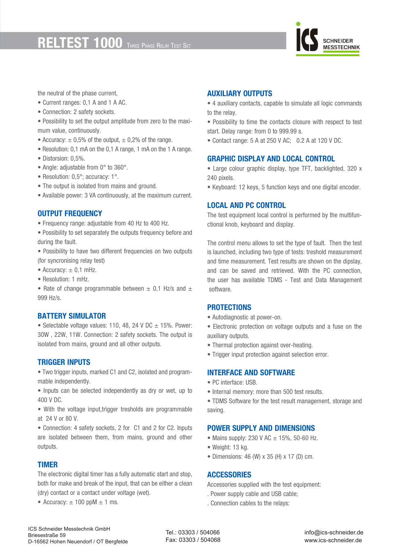# **RELTEST 1000** THREE PHASE RELAY TEST SE



the neutral of the phase current,

- Current ranges: 0,1 A and 1 A AC.
- Connection: 2 safety sockets.
- Possibility to set the output amplitude from zero to the maximum value, continuously.
- Accuracy:  $\pm$  0,5% of the output,  $\pm$  0,2% of the range.
- Resolution: 0,1 mA on the 0,1 A range, 1 mA on the 1 A range.
- Distorsion: 0,5%.
- Angle: adjustable from 0° to 360°.
- Resolution: 0,5°; accuracy: 1°.
- The output is isolated from mains and ground.
- Available power: 3 VA continuously, at the maximum current.

#### **OUTPUT FREQUENCY**

- Frequency range: adjustable from 40 Hz to 400 Hz.
- Possibility to set separately the outputs frequency before and during the fault.
- Possibility to have two different frequencies on two outputs (for syncronising relay test)
- Accuracy:  $\pm$  0,1 mHz.
- Resolution: 1 mHz.
- Rate of change programmable between  $\pm$  0.1 Hz/s and  $\pm$ 999 Hz/s.

#### **BATTERY SIMULATOR**

• Selectable voltage values: 110, 48, 24 V DC  $\pm$  15%. Power: 30W , 22W, 11W. Connection: 2 safety sockets. The output is isolated from mains, ground and all other outputs.

#### **TRIGGER INPUTS**

• Two trigger inputs, marked C1 and C2, isolated and programmable independently.

- Inputs can be selected independently as dry or wet, up to 400 V DC.
- With the voltage input,trigger tresholds are programmable at 24 V or 80 V.

• Connection: 4 safety sockets, 2 for C1 and 2 for C2. Inputs are isolated between them, from mains, ground and other outputs.

#### **TIMER**

The electronic digital timer has a fully automatic start and stop, both for make and break of the input, that can be either a clean (dry) contact or a contact under voltage (wet).

• Accuracy:  $\pm$  100 ppM  $\pm$  1 ms.

#### **AUXILIARY OUTPUTS**

- 4 auxiliary contacts, capable to simulate all logic commands to the relay.
- Possibility to time the contacts closure with respect to test start. Delay range: from 0 to 999.99 s.
- Contact range: 5 A at 250 V AC; 0.2 A at 120 V DC.

#### **GRAPHIC DISPLAY AND LOCAL CONTROL**

- Large colour graphic display, type TFT, backlighted, 320 x 240 pixels.
- Keyboard: 12 keys, 5 function keys and one digital encoder.

#### **LOCAL AND PC CONTROL**

The test equipment local control is performed by the multifunctional knob, keyboard and display.

The control menu allows to set the type of fault. Then the test is launched, including two type of tests: treshold measurement and time measurement. Test results are shown on the dipslay, and can be saved and retrieved. With the PC connection, the user has available TDMS - Test and Data Management software.

#### **PROTECTIONS**

• Autodiagnostic at power-on.

• Electronic protection on voltage outputs and a fuse on the auxiliary outputs.

- Thermal protection against over-heating.
- Trigger input protection against selection error.

#### **INTERFACE AND SOFTWARE**

- PC interface: USB.
- Internal memory: more than 500 test results.
- TDMS Software for the test result management, storage and saving.

#### **POWER SUPPLY AND DIMENSIONS**

- Mains supply: 230 V AC  $\pm$  15%, 50-60 Hz.
- Weight: 13 kg.
- Dimensions: 46 (W) x 35 (H) x 17 (D) cm.

#### **ACCESSORIES**

Accessories supplied with the test equipment:

- . Power supply cable and USB cable;
- . Connection cables to the relays: